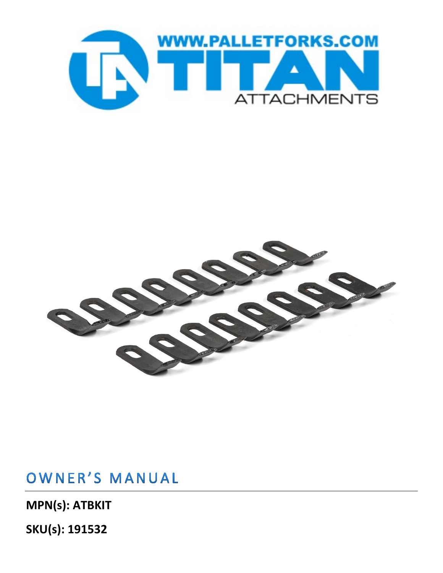



### OWNER'S MANUAL

**MPN(s): ATBKIT** 

**SKU(s): 191532**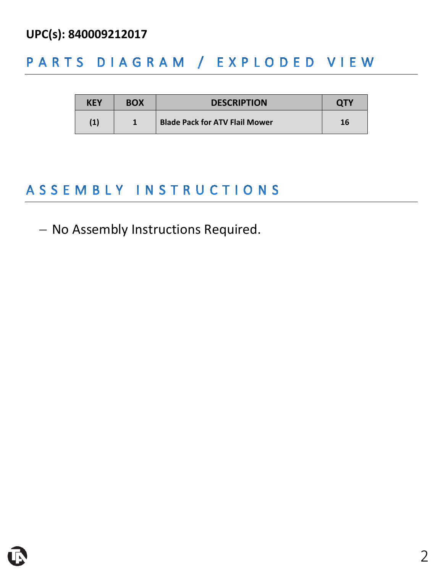#### **UPC(s): 840009212017**

#### PARTS DIAGRAM / EXPLODED VIEW

| <b>KEY</b> | <b>BOX</b> | <b>DESCRIPTION</b>                    | <b>QTY</b> |
|------------|------------|---------------------------------------|------------|
| (1)        |            | <b>Blade Pack for ATV Flail Mower</b> | 16         |

### ASSEMBLY INSTRUCTIONS

#### − No Assembly Instructions Required.